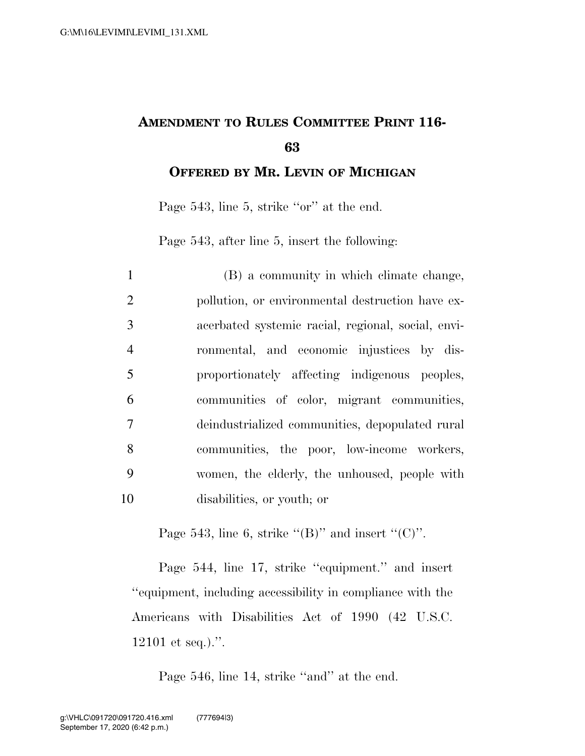## **AMENDMENT TO RULES COMMITTEE PRINT 116- 63**

**OFFERED BY MR. LEVIN OF MICHIGAN**

Page 543, line 5, strike "or" at the end.

Page 543, after line 5, insert the following:

| $\mathbf{1}$   | (B) a community in which climate change,           |
|----------------|----------------------------------------------------|
| 2              | pollution, or environmental destruction have ex-   |
| 3              | acerbated systemic racial, regional, social, envi- |
| $\overline{4}$ | ronmental, and economic injustices by dis-         |
| 5              | proportionately affecting indigenous peoples,      |
| 6              | communities of color, migrant communities,         |
| 7              | deindustrialized communities, depopulated rural    |
| 8              | communities, the poor, low-income workers,         |
| 9              | women, the elderly, the unhoused, people with      |
| 10             | disabilities, or youth; or                         |

Page 543, line 6, strike " $(B)$ " and insert " $(C)$ ".

Page 544, line 17, strike "equipment." and insert ''equipment, including accessibility in compliance with the Americans with Disabilities Act of 1990 (42 U.S.C. 12101 et seq.).''.

Page 546, line 14, strike "and" at the end.